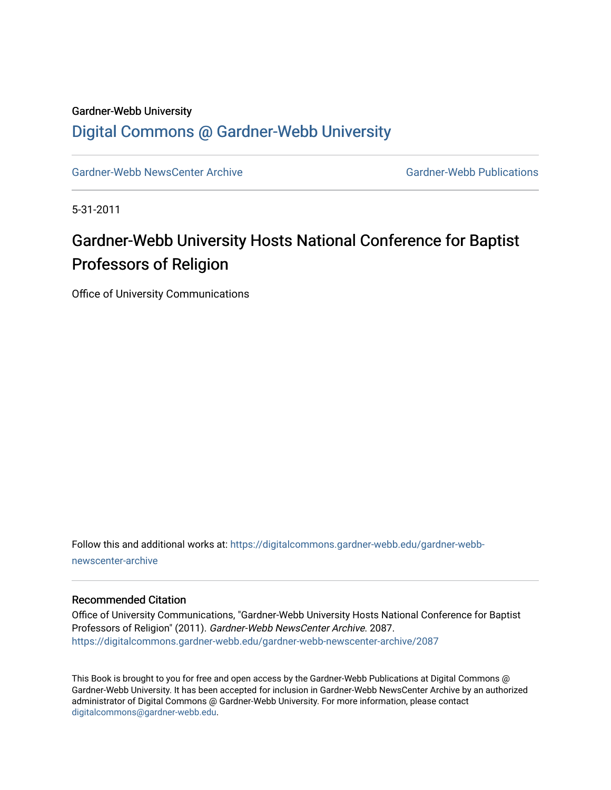## Gardner-Webb University [Digital Commons @ Gardner-Webb University](https://digitalcommons.gardner-webb.edu/)

[Gardner-Webb NewsCenter Archive](https://digitalcommons.gardner-webb.edu/gardner-webb-newscenter-archive) Gardner-Webb Publications

5-31-2011

## Gardner-Webb University Hosts National Conference for Baptist Professors of Religion

Office of University Communications

Follow this and additional works at: [https://digitalcommons.gardner-webb.edu/gardner-webb](https://digitalcommons.gardner-webb.edu/gardner-webb-newscenter-archive?utm_source=digitalcommons.gardner-webb.edu%2Fgardner-webb-newscenter-archive%2F2087&utm_medium=PDF&utm_campaign=PDFCoverPages)[newscenter-archive](https://digitalcommons.gardner-webb.edu/gardner-webb-newscenter-archive?utm_source=digitalcommons.gardner-webb.edu%2Fgardner-webb-newscenter-archive%2F2087&utm_medium=PDF&utm_campaign=PDFCoverPages)

## Recommended Citation

Office of University Communications, "Gardner-Webb University Hosts National Conference for Baptist Professors of Religion" (2011). Gardner-Webb NewsCenter Archive. 2087. [https://digitalcommons.gardner-webb.edu/gardner-webb-newscenter-archive/2087](https://digitalcommons.gardner-webb.edu/gardner-webb-newscenter-archive/2087?utm_source=digitalcommons.gardner-webb.edu%2Fgardner-webb-newscenter-archive%2F2087&utm_medium=PDF&utm_campaign=PDFCoverPages) 

This Book is brought to you for free and open access by the Gardner-Webb Publications at Digital Commons @ Gardner-Webb University. It has been accepted for inclusion in Gardner-Webb NewsCenter Archive by an authorized administrator of Digital Commons @ Gardner-Webb University. For more information, please contact [digitalcommons@gardner-webb.edu](mailto:digitalcommons@gardner-webb.edu).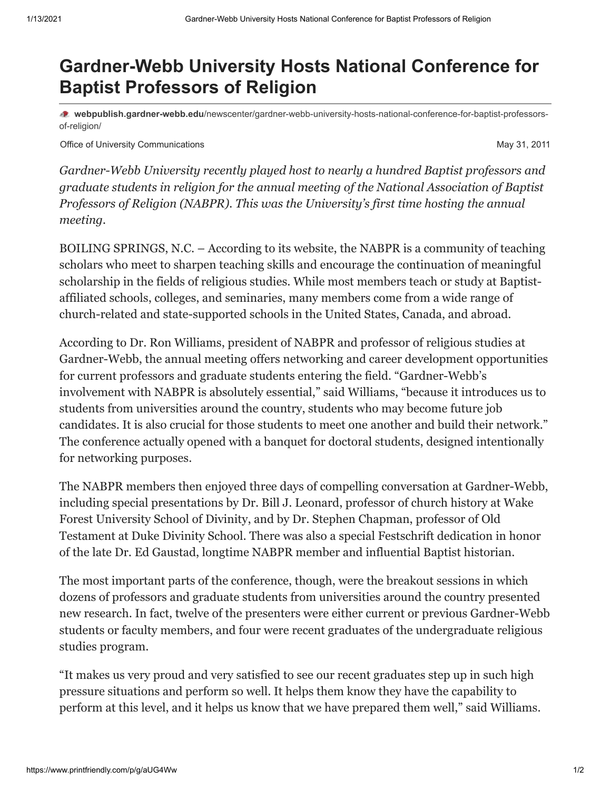## **Gardner-Webb University Hosts National Conference for Baptist Professors of Religion**

**webpublish.gardner-webb.edu**[/newscenter/gardner-webb-university-hosts-national-conference-for-baptist-professors](https://webpublish.gardner-webb.edu/newscenter/gardner-webb-university-hosts-national-conference-for-baptist-professors-of-religion/)of-religion/

Office of University Communications **May 31, 2011** Communications May 31, 2011

*Gardner-Webb University recently played host to nearly a hundred Baptist professors and graduate students in religion for the annual meeting of the National Association of Baptist Professors of Religion (NABPR). This was the University's first time hosting the annual meeting.*

BOILING SPRINGS, N.C. – According to its website, the NABPR is a community of teaching scholars who meet to sharpen teaching skills and encourage the continuation of meaningful scholarship in the fields of religious studies. While most members teach or study at Baptistaffiliated schools, colleges, and seminaries, many members come from a wide range of church-related and state-supported schools in the United States, Canada, and abroad.

According to Dr. Ron Williams, president of NABPR and professor of religious studies at Gardner-Webb, the annual meeting offers networking and career development opportunities for current professors and graduate students entering the field. "Gardner-Webb's involvement with NABPR is absolutely essential," said Williams, "because it introduces us to students from universities around the country, students who may become future job candidates. It is also crucial for those students to meet one another and build their network." The conference actually opened with a banquet for doctoral students, designed intentionally for networking purposes.

The NABPR members then enjoyed three days of compelling conversation at Gardner-Webb, including special presentations by Dr. Bill J. Leonard, professor of church history at Wake Forest University School of Divinity, and by Dr. Stephen Chapman, professor of Old Testament at Duke Divinity School. There was also a special Festschrift dedication in honor of the late Dr. Ed Gaustad, longtime NABPR member and influential Baptist historian.

The most important parts of the conference, though, were the breakout sessions in which dozens of professors and graduate students from universities around the country presented new research. In fact, twelve of the presenters were either current or previous Gardner-Webb students or faculty members, and four were recent graduates of the undergraduate religious studies program.

"It makes us very proud and very satisfied to see our recent graduates step up in such high pressure situations and perform so well. It helps them know they have the capability to perform at this level, and it helps us know that we have prepared them well," said Williams.